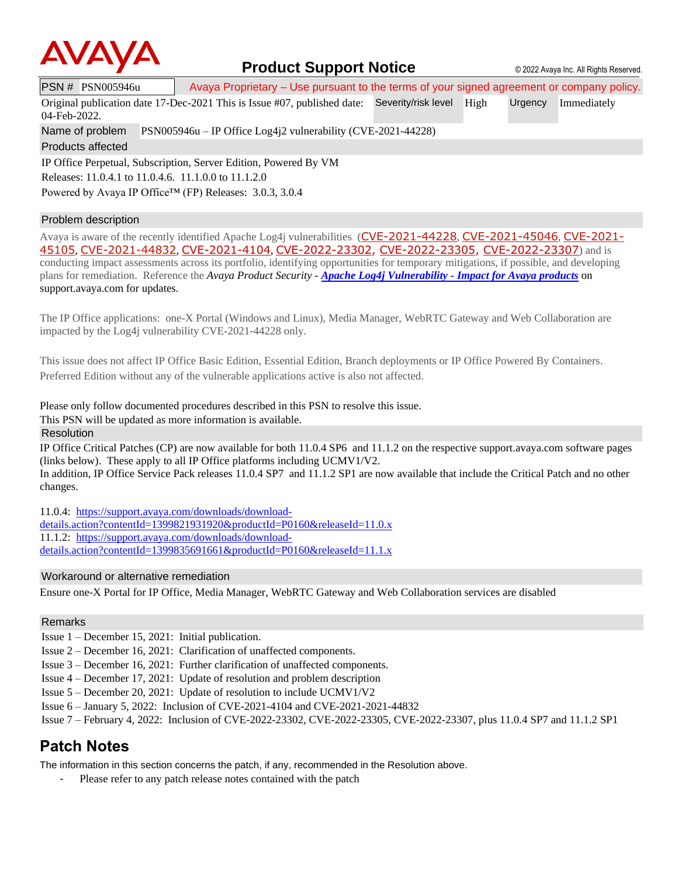

## **Product Support Notice**  $\circ$  2022 Avaya Inc. All Rights Reserved.

PSN # PSN005946u | Avaya Proprietary – Use pursuant to the terms of your signed agreement or company policy.

Original publication date 17-Dec-2021 This is Issue #07, published date: Severity/risk level High Urgency Immediately

04-Feb-2022.

Name of problem PSN005946u – IP Office Log4j2 vulnerability (CVE-2021-44228)

Products affected

IP Office Perpetual, Subscription, Server Edition, Powered By VM Releases: 11.0.4.1 to 11.0.4.6. 11.1.0.0 to 11.1.2.0 Powered by Avaya IP Office™ (FP) Releases: 3.0.3, 3.0.4

### Problem description

Avaya is aware of the recently identified Apache Log4j vulnerabilities ([CVE-2021-44228](https://cve.mitre.org/cgi-bin/cvename.cgi?name=CVE-2021-44228), [CVE-2021-45046](https://cve.mitre.org/cgi-bin/cvename.cgi?name=CVE-2021-45046), [CVE-2021-](https://cve.mitre.org/cgi-bin/cvename.cgi?name=CVE-2021-45105) [45105](https://cve.mitre.org/cgi-bin/cvename.cgi?name=CVE-2021-45105), [CVE-2021-44832](https://cve.mitre.org/cgi-bin/cvename.cgi?name=CVE-2021-44832), [CVE-2021-4104](https://cve.mitre.org/cgi-bin/cvename.cgi?name=CVE-2021-4104), [CVE-2022-23302,](https://www.cvedetails.com/cve/CVE-2022-23302/) [CVE-2022-23305,](https://www.cvedetails.com/cve/CVE-2022-23305/) [CVE-2022-23307](https://www.cvedetails.com/cve/CVE-2022-23307/)) and is conducting impact assessments across its portfolio, identifying opportunities for temporary mitigations, if possible, and developing plans for remediation. Reference the *Avaya Product Security - Apache Log4j Vulnerability - [Impact for Avaya](http://www.avaya.com/emergencyupdate) products* on support.avaya.com for updates.

The IP Office applications: one-X Portal (Windows and Linux), Media Manager, WebRTC Gateway and Web Collaboration are impacted by the Log4j vulnerability CVE-2021-44228 only.

This issue does not affect IP Office Basic Edition, Essential Edition, Branch deployments or IP Office Powered By Containers. Preferred Edition without any of the vulnerable applications active is also not affected.

Please only follow documented procedures described in this PSN to resolve this issue.

This PSN will be updated as more information is available.

Resolution

IP Office Critical Patches (CP) are now available for both 11.0.4 SP6 and 11.1.2 on the respective support.avaya.com software pages (links below). These apply to all IP Office platforms including UCMV1/V2. In addition, IP Office Service Pack releases 11.0.4 SP7 and 11.1.2 SP1 are now available that include the Critical Patch and no other changes.

11.0.4: [https://support.avaya.com/downloads/download-](https://support.avaya.com/downloads/download-details.action?contentId=1399821931920&productId=P0160&releaseId=11.0.x)

[details.action?contentId=1399821931920&productId=P0160&releaseId=11.0.x](https://support.avaya.com/downloads/download-details.action?contentId=1399821931920&productId=P0160&releaseId=11.0.x) 11.1.2: [https://support.avaya.com/downloads/download-](https://support.avaya.com/downloads/download-details.action?contentId=1399835691661&productId=P0160&releaseId=11.1.x)

[details.action?contentId=1399835691661&productId=P0160&releaseId=11.1.x](https://support.avaya.com/downloads/download-details.action?contentId=1399835691661&productId=P0160&releaseId=11.1.x)

### Workaround or alternative remediation

Ensure one-X Portal for IP Office, Media Manager, WebRTC Gateway and Web Collaboration services are disabled

#### Remarks

- Issue 1 December 15, 2021: Initial publication.
- Issue 2 December 16, 2021: Clarification of unaffected components.
- Issue 3 December 16, 2021: Further clarification of unaffected components.
- Issue 4 December 17, 2021: Update of resolution and problem description
- Issue 5 December 20, 2021: Update of resolution to include UCMV1/V2
- Issue 6 January 5, 2022: Inclusion of CVE-2021-4104 and CVE-2021-2021-44832
- Issue 7 February 4, 2022: Inclusion of CVE-2022-23302, CVE-2022-23305, CVE-2022-23307, plus 11.0.4 SP7 and 11.1.2 SP1

## **Patch Notes**

The information in this section concerns the patch, if any, recommended in the Resolution above.

Please refer to any patch release notes contained with the patch